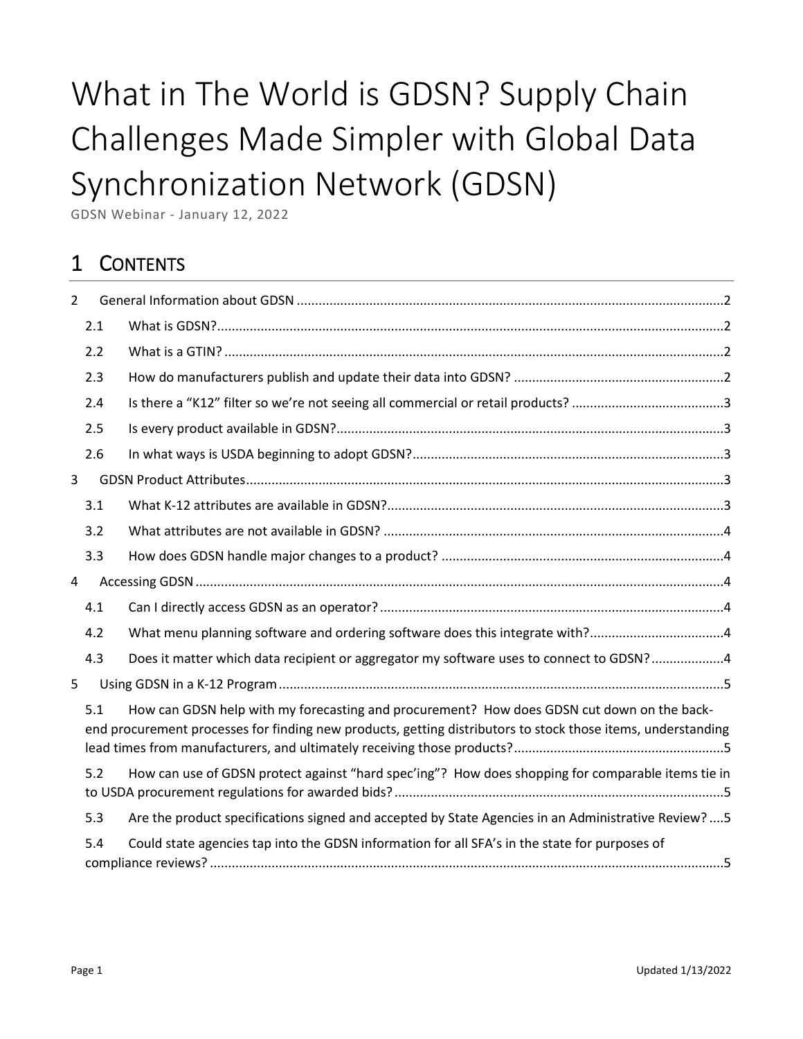# What in The World is GDSN? Supply Chain Challenges Made Simpler with Global Data Synchronization Network (GDSN)

GDSN Webinar - January 12, 2022

# 1 CONTENTS

| $\overline{2}$ |     |                                                                                                                                                                                                            |  |
|----------------|-----|------------------------------------------------------------------------------------------------------------------------------------------------------------------------------------------------------------|--|
|                | 2.1 |                                                                                                                                                                                                            |  |
|                | 2.2 |                                                                                                                                                                                                            |  |
|                | 2.3 |                                                                                                                                                                                                            |  |
|                | 2.4 |                                                                                                                                                                                                            |  |
|                | 2.5 |                                                                                                                                                                                                            |  |
|                | 2.6 |                                                                                                                                                                                                            |  |
| 3              |     |                                                                                                                                                                                                            |  |
|                | 3.1 |                                                                                                                                                                                                            |  |
|                | 3.2 |                                                                                                                                                                                                            |  |
|                | 3.3 |                                                                                                                                                                                                            |  |
| 4              |     |                                                                                                                                                                                                            |  |
|                | 4.1 |                                                                                                                                                                                                            |  |
|                | 4.2 | What menu planning software and ordering software does this integrate with?4                                                                                                                               |  |
|                | 4.3 | Does it matter which data recipient or aggregator my software uses to connect to GDSN?4                                                                                                                    |  |
| 5              |     |                                                                                                                                                                                                            |  |
|                | 5.1 | How can GDSN help with my forecasting and procurement? How does GDSN cut down on the back-<br>end procurement processes for finding new products, getting distributors to stock those items, understanding |  |
|                | 5.2 | How can use of GDSN protect against "hard spec'ing"? How does shopping for comparable items tie in                                                                                                         |  |
|                | 5.3 | Are the product specifications signed and accepted by State Agencies in an Administrative Review?  5                                                                                                       |  |
|                | 5.4 | Could state agencies tap into the GDSN information for all SFA's in the state for purposes of                                                                                                              |  |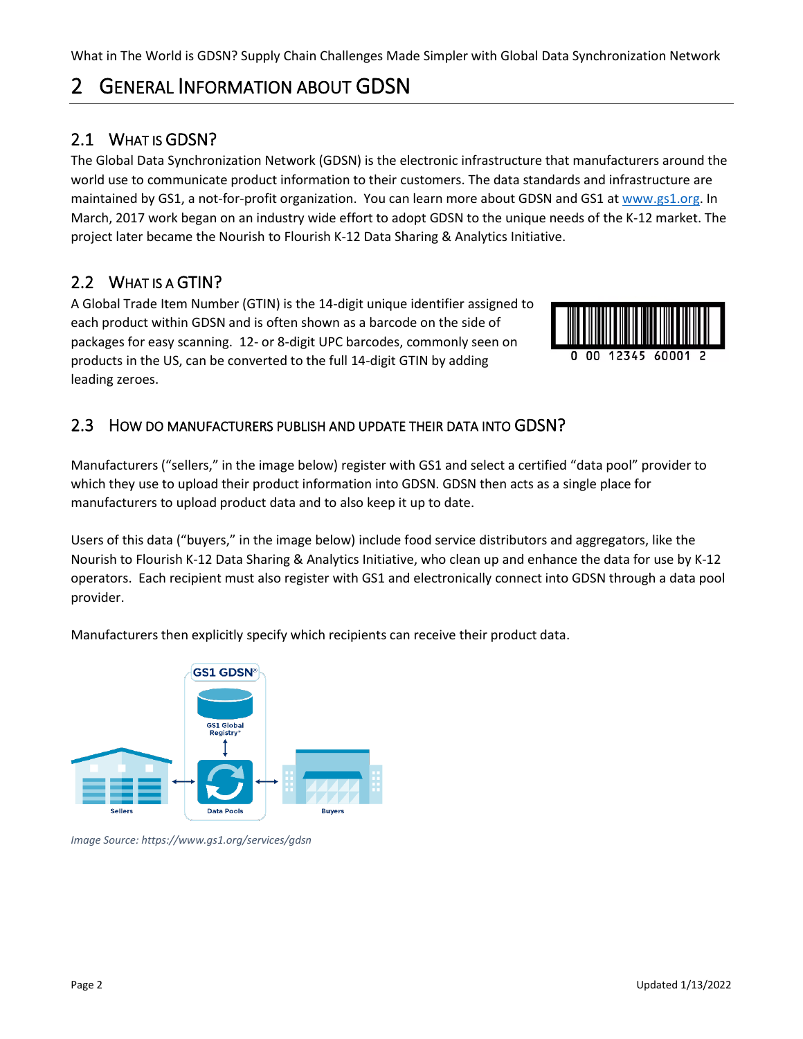What in The World is GDSN? Supply Chain Challenges Made Simpler with Global Data Synchronization Network

# <span id="page-1-0"></span>2 GENERAL INFORMATION ABOUT GDSN

## <span id="page-1-1"></span>2.1 WHAT IS GDSN?

The Global Data Synchronization Network (GDSN) is the electronic infrastructure that manufacturers around the world use to communicate product information to their customers. The data standards and infrastructure are maintained by GS1, a not-for-profit organization. You can learn more about GDSN and GS1 a[t www.gs1.org.](http://www.gs1.org/) In March, 2017 work began on an industry wide effort to adopt GDSN to the unique needs of the K-12 market. The project later became the Nourish to Flourish K-12 Data Sharing & Analytics Initiative.

## <span id="page-1-2"></span>2.2 WHAT IS A GTIN?

A Global Trade Item Number (GTIN) is the 14-digit unique identifier assigned to each product within GDSN and is often shown as a barcode on the side of packages for easy scanning. 12- or 8-digit UPC barcodes, commonly seen on products in the US, can be converted to the full 14-digit GTIN by adding leading zeroes.



#### <span id="page-1-3"></span>2.3 HOW DO MANUFACTURERS PUBLISH AND UPDATE THEIR DATA INTO GDSN?

Manufacturers ("sellers," in the image below) register with GS1 and select a certified "data pool" provider to which they use to upload their product information into GDSN. GDSN then acts as a single place for manufacturers to upload product data and to also keep it up to date.

Users of this data ("buyers," in the image below) include food service distributors and aggregators, like the Nourish to Flourish K-12 Data Sharing & Analytics Initiative, who clean up and enhance the data for use by K-12 operators. Each recipient must also register with GS1 and electronically connect into GDSN through a data pool provider.

Manufacturers then explicitly specify which recipients can receive their product data.



*Image Source: https://www.gs1.org/services/gdsn*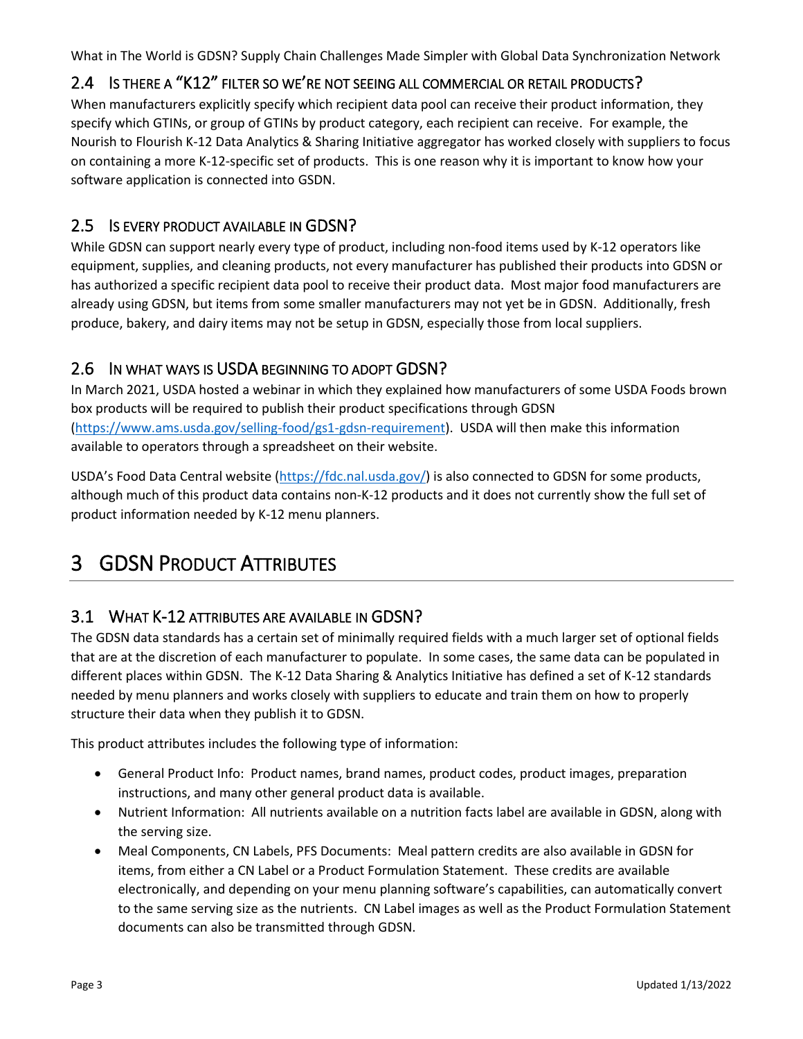What in The World is GDSN? Supply Chain Challenges Made Simpler with Global Data Synchronization Network

#### <span id="page-2-0"></span>2.4 IS THERE A "K12" FILTER SO WE'RE NOT SEEING ALL COMMERCIAL OR RETAIL PRODUCTS?

When manufacturers explicitly specify which recipient data pool can receive their product information, they specify which GTINs, or group of GTINs by product category, each recipient can receive. For example, the Nourish to Flourish K-12 Data Analytics & Sharing Initiative aggregator has worked closely with suppliers to focus on containing a more K-12-specific set of products. This is one reason why it is important to know how your software application is connected into GSDN.

#### <span id="page-2-1"></span>2.5 IS EVERY PRODUCT AVAILABLE IN GDSN?

While GDSN can support nearly every type of product, including non-food items used by K-12 operators like equipment, supplies, and cleaning products, not every manufacturer has published their products into GDSN or has authorized a specific recipient data pool to receive their product data. Most major food manufacturers are already using GDSN, but items from some smaller manufacturers may not yet be in GDSN. Additionally, fresh produce, bakery, and dairy items may not be setup in GDSN, especially those from local suppliers.

#### <span id="page-2-2"></span>2.6 IN WHAT WAYS IS USDA BEGINNING TO ADOPT GDSN?

In March 2021, USDA hosted a webinar in which they explained how manufacturers of some USDA Foods brown box products will be required to publish their product specifications through GDSN [\(https://www.ams.usda.gov/selling-food/gs1-gdsn-requirement\)](https://www.ams.usda.gov/selling-food/gs1-gdsn-requirement). USDA will then make this information available to operators through a spreadsheet on their website.

USDA's Food Data Central website ([https://fdc.nal.usda.gov/\)](https://fdc.nal.usda.gov/) is also connected to GDSN for some products, although much of this product data contains non-K-12 products and it does not currently show the full set of product information needed by K-12 menu planners.

# <span id="page-2-3"></span>3 GDSN PRODUCT ATTRIBUTES

#### <span id="page-2-4"></span>3.1 WHAT K-12 ATTRIBUTES ARE AVAILABLE IN GDSN?

The GDSN data standards has a certain set of minimally required fields with a much larger set of optional fields that are at the discretion of each manufacturer to populate. In some cases, the same data can be populated in different places within GDSN. The K-12 Data Sharing & Analytics Initiative has defined a set of K-12 standards needed by menu planners and works closely with suppliers to educate and train them on how to properly structure their data when they publish it to GDSN.

This product attributes includes the following type of information:

- General Product Info: Product names, brand names, product codes, product images, preparation instructions, and many other general product data is available.
- Nutrient Information: All nutrients available on a nutrition facts label are available in GDSN, along with the serving size.
- Meal Components, CN Labels, PFS Documents: Meal pattern credits are also available in GDSN for items, from either a CN Label or a Product Formulation Statement. These credits are available electronically, and depending on your menu planning software's capabilities, can automatically convert to the same serving size as the nutrients. CN Label images as well as the Product Formulation Statement documents can also be transmitted through GDSN.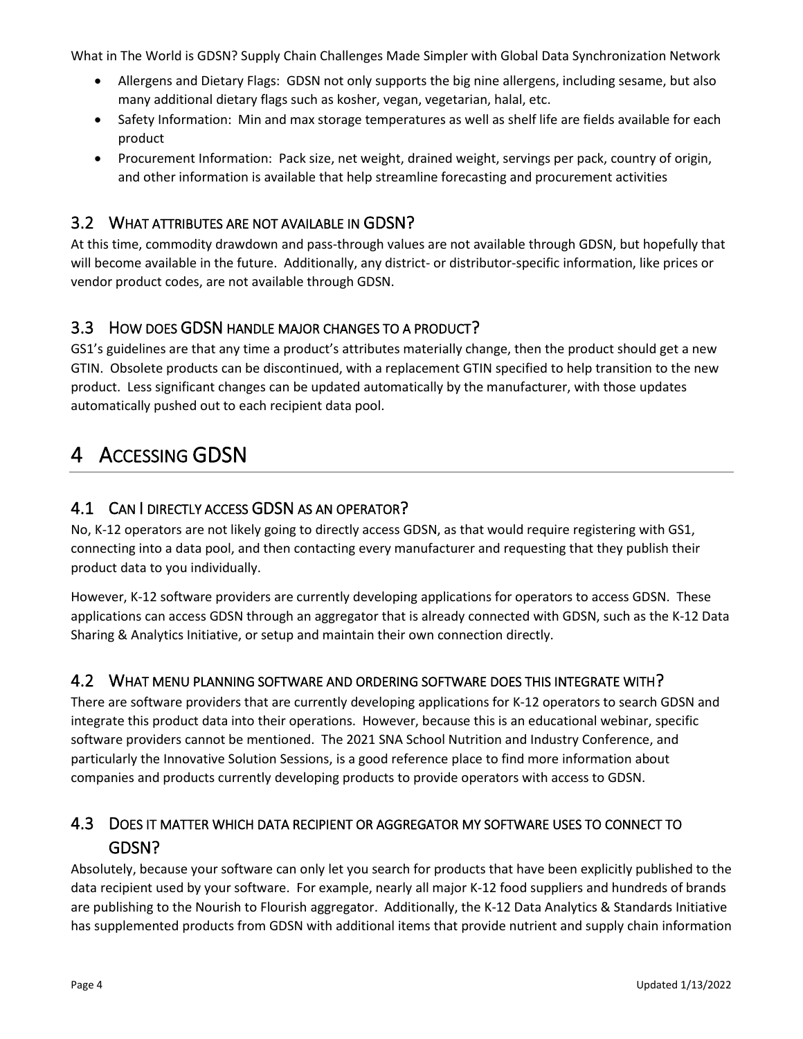What in The World is GDSN? Supply Chain Challenges Made Simpler with Global Data Synchronization Network

- Allergens and Dietary Flags: GDSN not only supports the big nine allergens, including sesame, but also many additional dietary flags such as kosher, vegan, vegetarian, halal, etc.
- Safety Information: Min and max storage temperatures as well as shelf life are fields available for each product
- Procurement Information: Pack size, net weight, drained weight, servings per pack, country of origin, and other information is available that help streamline forecasting and procurement activities

#### <span id="page-3-0"></span>3.2 WHAT ATTRIBUTES ARE NOT AVAILABLE IN GDSN?

At this time, commodity drawdown and pass-through values are not available through GDSN, but hopefully that will become available in the future. Additionally, any district- or distributor-specific information, like prices or vendor product codes, are not available through GDSN.

#### <span id="page-3-1"></span>3.3 HOW DOES GDSN HANDLE MAJOR CHANGES TO A PRODUCT?

GS1's guidelines are that any time a product's attributes materially change, then the product should get a new GTIN. Obsolete products can be discontinued, with a replacement GTIN specified to help transition to the new product. Less significant changes can be updated automatically by the manufacturer, with those updates automatically pushed out to each recipient data pool.

# <span id="page-3-2"></span>4 ACCESSING GDSN

#### <span id="page-3-3"></span>4.1 CAN I DIRECTLY ACCESS GDSN AS AN OPERATOR?

No, K-12 operators are not likely going to directly access GDSN, as that would require registering with GS1, connecting into a data pool, and then contacting every manufacturer and requesting that they publish their product data to you individually.

However, K-12 software providers are currently developing applications for operators to access GDSN. These applications can access GDSN through an aggregator that is already connected with GDSN, such as the K-12 Data Sharing & Analytics Initiative, or setup and maintain their own connection directly.

#### <span id="page-3-4"></span>4.2 WHAT MENU PLANNING SOFTWARE AND ORDERING SOFTWARE DOES THIS INTEGRATE WITH?

There are software providers that are currently developing applications for K-12 operators to search GDSN and integrate this product data into their operations. However, because this is an educational webinar, specific software providers cannot be mentioned. The 2021 SNA School Nutrition and Industry Conference, and particularly the Innovative Solution Sessions, is a good reference place to find more information about companies and products currently developing products to provide operators with access to GDSN.

#### <span id="page-3-5"></span>4.3 DOES IT MATTER WHICH DATA RECIPIENT OR AGGREGATOR MY SOFTWARE USES TO CONNECT TO GDSN?

Absolutely, because your software can only let you search for products that have been explicitly published to the data recipient used by your software. For example, nearly all major K-12 food suppliers and hundreds of brands are publishing to the Nourish to Flourish aggregator. Additionally, the K-12 Data Analytics & Standards Initiative has supplemented products from GDSN with additional items that provide nutrient and supply chain information